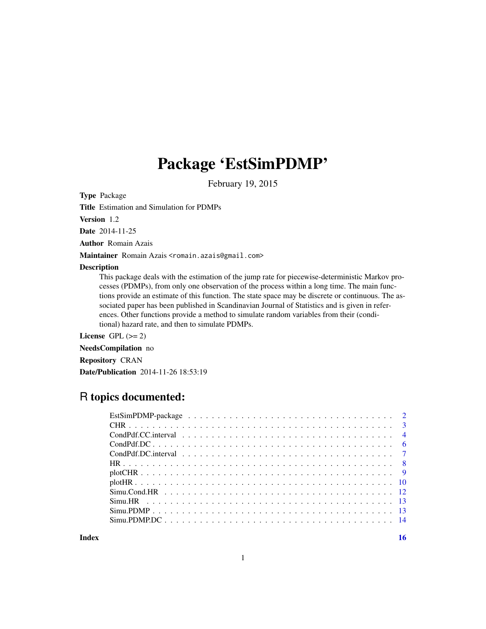# Package 'EstSimPDMP'

February 19, 2015

Type Package

Title Estimation and Simulation for PDMPs

Version 1.2

Date 2014-11-25

Author Romain Azais

Maintainer Romain Azais <romain.azais@gmail.com>

#### Description

This package deals with the estimation of the jump rate for piecewise-deterministic Markov processes (PDMPs), from only one observation of the process within a long time. The main functions provide an estimate of this function. The state space may be discrete or continuous. The associated paper has been published in Scandinavian Journal of Statistics and is given in references. Other functions provide a method to simulate random variables from their (conditional) hazard rate, and then to simulate PDMPs.

License GPL  $(>= 2)$ 

NeedsCompilation no Repository CRAN Date/Publication 2014-11-26 18:53:19

## R topics documented:

**Index** and the contract of the contract of the contract of the contract of the contract of the contract of the contract of the contract of the contract of the contract of the contract of the contract of the contract of th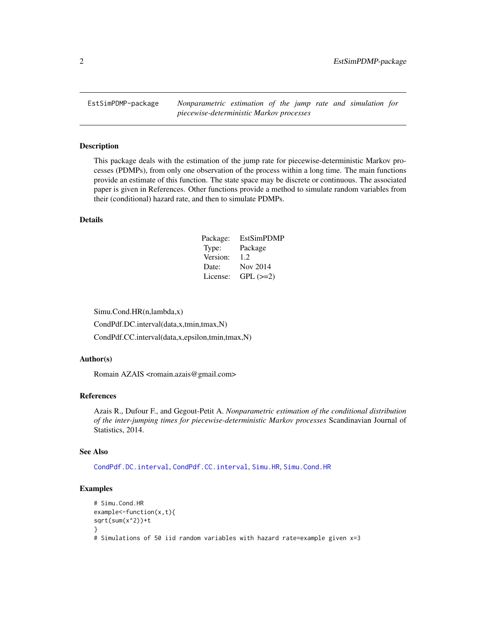<span id="page-1-0"></span>EstSimPDMP-package *Nonparametric estimation of the jump rate and simulation for piecewise-deterministic Markov processes*

#### Description

This package deals with the estimation of the jump rate for piecewise-deterministic Markov processes (PDMPs), from only one observation of the process within a long time. The main functions provide an estimate of this function. The state space may be discrete or continuous. The associated paper is given in References. Other functions provide a method to simulate random variables from their (conditional) hazard rate, and then to simulate PDMPs.

#### Details

| Package: | EstSimPDMP |
|----------|------------|
| Type:    | Package    |
| Version: | 1.2.       |
| Date:    | Nov 2014   |
| License: | $GPL (=2)$ |

Simu.Cond.HR(n,lambda,x)

CondPdf.DC.interval(data,x,tmin,tmax,N)

CondPdf.CC.interval(data,x,epsilon,tmin,tmax,N)

## Author(s)

Romain AZAIS <romain.azais@gmail.com>

#### References

Azais R., Dufour F., and Gegout-Petit A. *Nonparametric estimation of the conditional distribution of the inter-jumping times for piecewise-deterministic Markov processes* Scandinavian Journal of Statistics, 2014.

#### See Also

[CondPdf.DC.interval](#page-6-1), [CondPdf.CC.interval](#page-3-1), [Simu.HR](#page-12-1), [Simu.Cond.HR](#page-11-1)

## Examples

```
# Simu.Cond.HR
example<-function(x,t){
sqrt(sum(x^2))+t
}
# Simulations of 50 iid random variables with hazard rate=example given x=3
```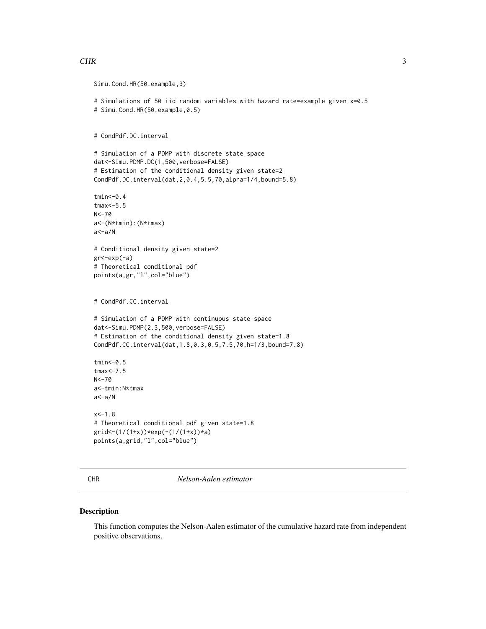#### <span id="page-2-0"></span> $CHR$  3

```
Simu.Cond.HR(50,example,3)
# Simulations of 50 iid random variables with hazard rate=example given x=0.5
# Simu.Cond.HR(50,example,0.5)
# CondPdf.DC.interval
# Simulation of a PDMP with discrete state space
dat<-Simu.PDMP.DC(1,500,verbose=FALSE)
# Estimation of the conditional density given state=2
CondPdf.DC.interval(dat,2,0.4,5.5,70,alpha=1/4,bound=5.8)
tmin<-0.4
tmax<-5.5
N<-70
a<-(N*tmin):(N*tmax)
a<-a/N
# Conditional density given state=2
gr<-exp(-a)
# Theoretical conditional pdf
points(a,gr,"l",col="blue")
# CondPdf.CC.interval
# Simulation of a PDMP with continuous state space
dat<-Simu.PDMP(2.3,500,verbose=FALSE)
# Estimation of the conditional density given state=1.8
CondPdf.CC.interval(dat,1.8,0.3,0.5,7.5,70,h=1/3,bound=7.8)
tmin<-0.5
tmax<-7.5
N<-70
a<-tmin:N*tmax
a<-a/N
x < -1.8# Theoretical conditional pdf given state=1.8
grid<-(1/(1+x))*exp(-(1/(1+x))*a)
points(a,grid,"l",col="blue")
```
<span id="page-2-1"></span>CHR *Nelson-Aalen estimator*

## Description

This function computes the Nelson-Aalen estimator of the cumulative hazard rate from independent positive observations.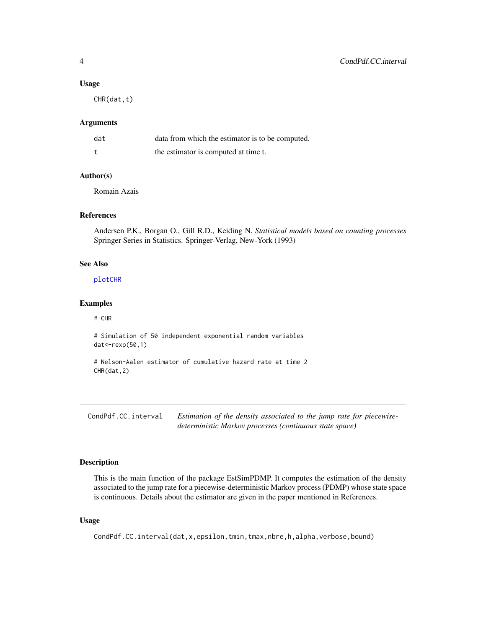#### <span id="page-3-0"></span>Usage

CHR(dat,t)

## Arguments

| dat | data from which the estimator is to be computed. |
|-----|--------------------------------------------------|
|     | the estimator is computed at time t.             |

#### Author(s)

Romain Azais

## References

Andersen P.K., Borgan O., Gill R.D., Keiding N. *Statistical models based on counting processes* Springer Series in Statistics. Springer-Verlag, New-York (1993)

#### See Also

[plotCHR](#page-8-1)

#### Examples

# CHR

```
# Simulation of 50 independent exponential random variables
dat<-rexp(50,1)
```

```
# Nelson-Aalen estimator of cumulative hazard rate at time 2
CHR(dat,2)
```
<span id="page-3-1"></span>CondPdf.CC.interval *Estimation of the density associated to the jump rate for piecewisedeterministic Markov processes (continuous state space)*

#### Description

This is the main function of the package EstSimPDMP. It computes the estimation of the density associated to the jump rate for a piecewise-deterministic Markov process (PDMP) whose state space is continuous. Details about the estimator are given in the paper mentioned in References.

## Usage

CondPdf.CC.interval(dat,x,epsilon,tmin,tmax,nbre,h,alpha,verbose,bound)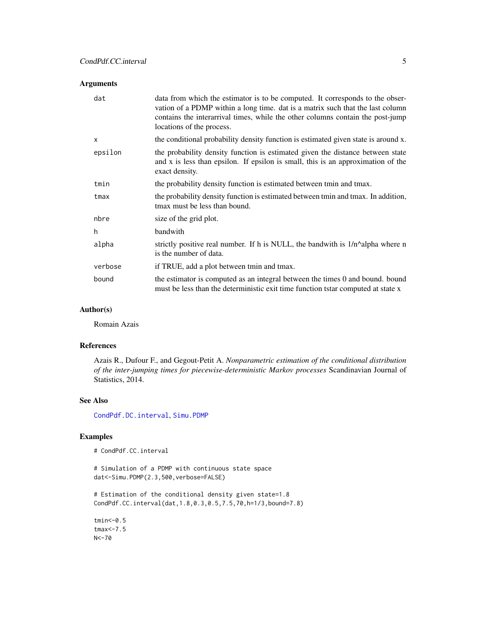#### <span id="page-4-0"></span>Arguments

| dat          | data from which the estimator is to be computed. It corresponds to the obser-<br>vation of a PDMP within a long time, dat is a matrix such that the last column<br>contains the interarrival times, while the other columns contain the post-jump<br>locations of the process. |
|--------------|--------------------------------------------------------------------------------------------------------------------------------------------------------------------------------------------------------------------------------------------------------------------------------|
| $\mathsf{x}$ | the conditional probability density function is estimated given state is around x.                                                                                                                                                                                             |
| epsilon      | the probability density function is estimated given the distance between state<br>and x is less than epsilon. If epsilon is small, this is an approximation of the<br>exact density.                                                                                           |
| tmin         | the probability density function is estimated between tmin and tmax.                                                                                                                                                                                                           |
| tmax         | the probability density function is estimated between tmin and tmax. In addition,<br>tmax must be less than bound.                                                                                                                                                             |
| nbre         | size of the grid plot.                                                                                                                                                                                                                                                         |
| h.           | bandwith                                                                                                                                                                                                                                                                       |
| alpha        | strictly positive real number. If h is NULL, the bandwith is $1/n^{\alpha}$ alpha where n<br>is the number of data.                                                                                                                                                            |
| verbose      | if TRUE, add a plot between tmin and tmax.                                                                                                                                                                                                                                     |
| bound        | the estimator is computed as an integral between the times $0$ and bound. bound<br>must be less than the deterministic exit time function tstar computed at state x                                                                                                            |

#### Author(s)

Romain Azais

## References

Azais R., Dufour F., and Gegout-Petit A. *Nonparametric estimation of the conditional distribution of the inter-jumping times for piecewise-deterministic Markov processes* Scandinavian Journal of Statistics, 2014.

#### See Also

[CondPdf.DC.interval](#page-6-1), [Simu.PDMP](#page-12-2)

## Examples

# CondPdf.CC.interval

# Simulation of a PDMP with continuous state space dat<-Simu.PDMP(2.3,500,verbose=FALSE)

# Estimation of the conditional density given state=1.8 CondPdf.CC.interval(dat,1.8,0.3,0.5,7.5,70,h=1/3,bound=7.8)

tmin<-0.5 tmax<-7.5 N<-70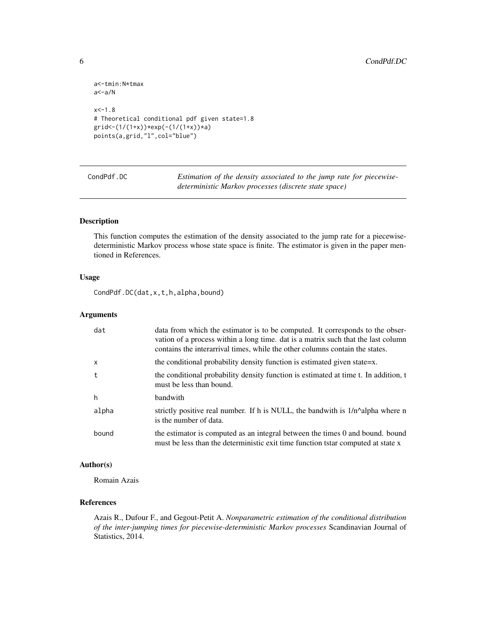```
a<-tmin:N*tmax
a<-a/N
x < -1.8# Theoretical conditional pdf given state=1.8
grid<-(1/(1+x))*exp(-(1/(1+x))*a)
points(a,grid,"l",col="blue")
```
<span id="page-5-1"></span>CondPdf.DC *Estimation of the density associated to the jump rate for piecewisedeterministic Markov processes (discrete state space)*

## Description

This function computes the estimation of the density associated to the jump rate for a piecewisedeterministic Markov process whose state space is finite. The estimator is given in the paper mentioned in References.

## Usage

CondPdf.DC(dat,x,t,h,alpha,bound)

## Arguments

| dat          | data from which the estimator is to be computed. It corresponds to the obser-<br>vation of a process within a long time, dat is a matrix such that the last column<br>contains the interarrival times, while the other columns contain the states. |
|--------------|----------------------------------------------------------------------------------------------------------------------------------------------------------------------------------------------------------------------------------------------------|
| $\mathsf{x}$ | the conditional probability density function is estimated given state=x.                                                                                                                                                                           |
| t            | the conditional probability density function is estimated at time t. In addition, t<br>must be less than bound.                                                                                                                                    |
| h            | bandwith                                                                                                                                                                                                                                           |
| alpha        | strictly positive real number. If h is NULL, the bandwith is 1/n^alpha where n<br>is the number of data.                                                                                                                                           |
| bound        | the estimator is computed as an integral between the times 0 and bound. bound<br>must be less than the deterministic exit time function tstar computed at state x                                                                                  |

## Author(s)

Romain Azais

## References

Azais R., Dufour F., and Gegout-Petit A. *Nonparametric estimation of the conditional distribution of the inter-jumping times for piecewise-deterministic Markov processes* Scandinavian Journal of Statistics, 2014.

<span id="page-5-0"></span>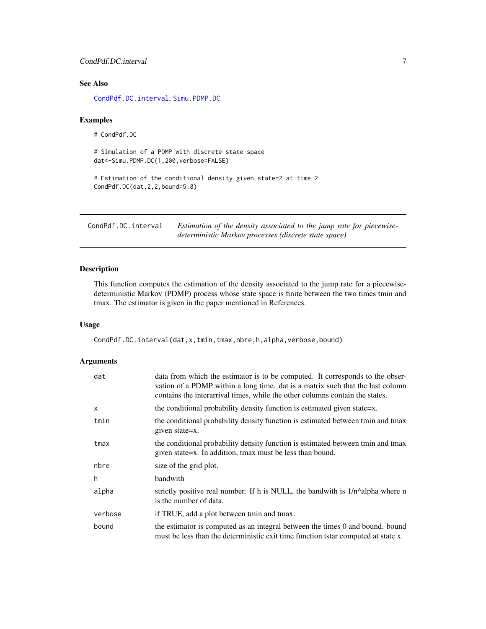## <span id="page-6-0"></span>CondPdf.DC.interval 7

## See Also

[CondPdf.DC.interval](#page-6-1), [Simu.PDMP.DC](#page-13-1)

#### Examples

# CondPdf.DC

```
# Simulation of a PDMP with discrete state space
dat<-Simu.PDMP.DC(1,200,verbose=FALSE)
```

```
# Estimation of the conditional density given state=2 at time 2
CondPdf.DC(dat,2,2,bound=5.8)
```
<span id="page-6-1"></span>CondPdf.DC.interval *Estimation of the density associated to the jump rate for piecewisedeterministic Markov processes (discrete state space)*

## Description

This function computes the estimation of the density associated to the jump rate for a piecewisedeterministic Markov (PDMP) process whose state space is finite between the two times tmin and tmax. The estimator is given in the paper mentioned in References.

### Usage

CondPdf.DC.interval(dat,x,tmin,tmax,nbre,h,alpha,verbose,bound)

#### Arguments

| dat          | data from which the estimator is to be computed. It corresponds to the obser-<br>vation of a PDMP within a long time. dat is a matrix such that the last column<br>contains the interarrival times, while the other columns contain the states. |
|--------------|-------------------------------------------------------------------------------------------------------------------------------------------------------------------------------------------------------------------------------------------------|
| $\mathsf{x}$ | the conditional probability density function is estimated given state=x.                                                                                                                                                                        |
| tmin         | the conditional probability density function is estimated between tmin and tmax<br>given state=x.                                                                                                                                               |
| tmax         | the conditional probability density function is estimated between tmin and tmax<br>given state=x. In addition, tmax must be less than bound.                                                                                                    |
| nbre         | size of the grid plot.                                                                                                                                                                                                                          |
| h            | bandwith                                                                                                                                                                                                                                        |
| alpha        | strictly positive real number. If h is NULL, the bandwith is $1/n^{\alpha}$ alpha where n<br>is the number of data.                                                                                                                             |
| verbose      | if TRUE, add a plot between tmin and tmax.                                                                                                                                                                                                      |
| bound        | the estimator is computed as an integral between the times 0 and bound. bound<br>must be less than the deterministic exit time function tstar computed at state x.                                                                              |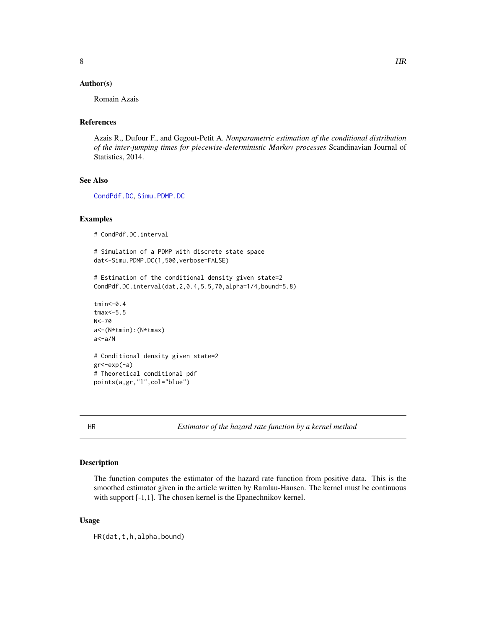#### <span id="page-7-0"></span>Author(s)

Romain Azais

## References

Azais R., Dufour F., and Gegout-Petit A. *Nonparametric estimation of the conditional distribution of the inter-jumping times for piecewise-deterministic Markov processes* Scandinavian Journal of Statistics, 2014.

#### See Also

[CondPdf.DC](#page-5-1), [Simu.PDMP.DC](#page-13-1)

#### Examples

```
# CondPdf.DC.interval
```

```
# Simulation of a PDMP with discrete state space
dat<-Simu.PDMP.DC(1,500,verbose=FALSE)
```

```
# Estimation of the conditional density given state=2
CondPdf.DC.interval(dat,2,0.4,5.5,70,alpha=1/4,bound=5.8)
```

```
tmin<-0.4
tmax<-5.5
N < -70a<-(N*tmin):(N*tmax)
a<-a/N
# Conditional density given state=2
gr<-exp(-a)
# Theoretical conditional pdf
```
points(a,gr,"l",col="blue")

<span id="page-7-1"></span>

HR *Estimator of the hazard rate function by a kernel method*

### Description

The function computes the estimator of the hazard rate function from positive data. This is the smoothed estimator given in the article written by Ramlau-Hansen. The kernel must be continuous with support [-1,1]. The chosen kernel is the Epanechnikov kernel.

#### Usage

HR(dat,t,h,alpha,bound)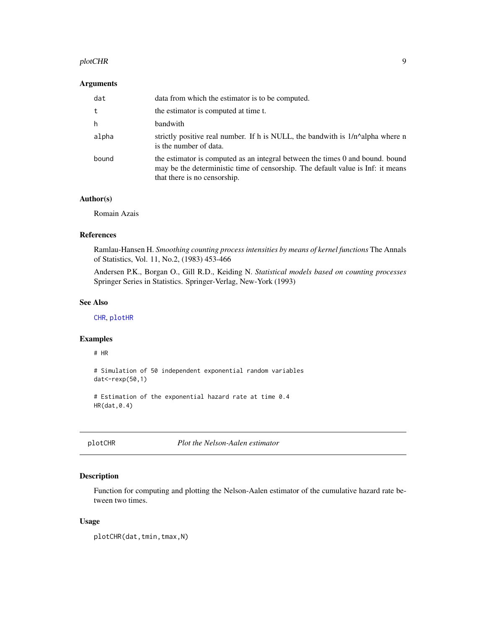#### <span id="page-8-0"></span>plotCHR 9

## Arguments

| dat   | data from which the estimator is to be computed.                                                                                                                                                 |
|-------|--------------------------------------------------------------------------------------------------------------------------------------------------------------------------------------------------|
| t     | the estimator is computed at time t.                                                                                                                                                             |
| h     | bandwith                                                                                                                                                                                         |
| alpha | strictly positive real number. If h is NULL, the bandwith is $1/n^{\alpha}$ alpha where n<br>is the number of data.                                                                              |
| bound | the estimator is computed as an integral between the times 0 and bound. bound<br>may be the deterministic time of censorship. The default value is Inf: it means<br>that there is no censorship. |

#### Author(s)

Romain Azais

#### References

Ramlau-Hansen H. *Smoothing counting process intensities by means of kernel functions* The Annals of Statistics, Vol. 11, No.2, (1983) 453-466

Andersen P.K., Borgan O., Gill R.D., Keiding N. *Statistical models based on counting processes* Springer Series in Statistics. Springer-Verlag, New-York (1993)

## See Also

[CHR](#page-2-1), [plotHR](#page-9-1)

#### Examples

# HR

```
# Simulation of 50 independent exponential random variables
dat<-rexp(50,1)
```

```
# Estimation of the exponential hazard rate at time 0.4
HR(dat,0.4)
```
<span id="page-8-1"></span>plotCHR *Plot the Nelson-Aalen estimator*

## Description

Function for computing and plotting the Nelson-Aalen estimator of the cumulative hazard rate between two times.

#### Usage

plotCHR(dat,tmin,tmax,N)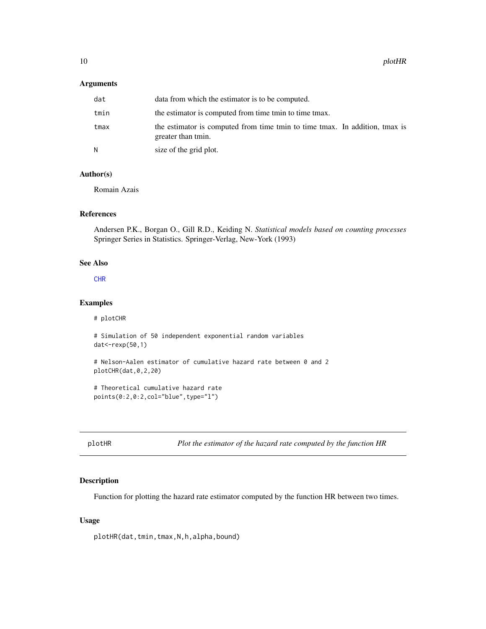#### <span id="page-9-0"></span>Arguments

| dat  | data from which the estimator is to be computed.                                                  |
|------|---------------------------------------------------------------------------------------------------|
| tmin | the estimator is computed from time the to time the the state.                                    |
| tmax | the estimator is computed from time tmin to time tmax. In addition, tmax is<br>greater than tmin. |
|      | size of the grid plot.                                                                            |

## Author(s)

Romain Azais

## References

Andersen P.K., Borgan O., Gill R.D., Keiding N. *Statistical models based on counting processes* Springer Series in Statistics. Springer-Verlag, New-York (1993)

#### See Also

#### [CHR](#page-2-1)

#### Examples

# plotCHR

```
# Simulation of 50 independent exponential random variables
dat<-rexp(50,1)
```

```
# Nelson-Aalen estimator of cumulative hazard rate between 0 and 2
plotCHR(dat,0,2,20)
```

```
# Theoretical cumulative hazard rate
points(0:2,0:2,col="blue",type="l")
```
<span id="page-9-1"></span>plotHR *Plot the estimator of the hazard rate computed by the function HR*

## Description

Function for plotting the hazard rate estimator computed by the function HR between two times.

## Usage

plotHR(dat,tmin,tmax,N,h,alpha,bound)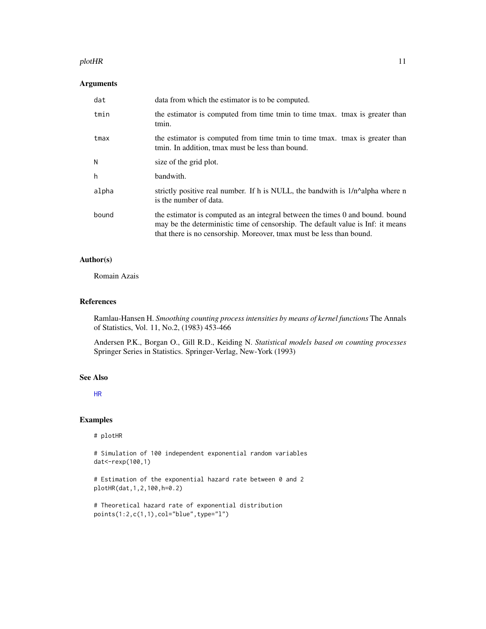#### <span id="page-10-0"></span>plotHR 11

## Arguments

| dat   | data from which the estimator is to be computed.                                                                                                                                                                                         |
|-------|------------------------------------------------------------------------------------------------------------------------------------------------------------------------------------------------------------------------------------------|
| tmin  | the estimator is computed from time tmin to time tmax. tmax is greater than<br>tmin.                                                                                                                                                     |
| tmax  | the estimator is computed from time tmin to time tmax. tmax is greater than<br>tmin. In addition, tmax must be less than bound.                                                                                                          |
| N     | size of the grid plot.                                                                                                                                                                                                                   |
| h     | bandwith.                                                                                                                                                                                                                                |
| alpha | strictly positive real number. If h is NULL, the bandwith is $1/n^{\alpha}$ alpha where n<br>is the number of data.                                                                                                                      |
| bound | the estimator is computed as an integral between the times 0 and bound. bound<br>may be the deterministic time of censorship. The default value is Inf: it means<br>that there is no censorship. Moreover, tmax must be less than bound. |

## Author(s)

Romain Azais

## References

Ramlau-Hansen H. *Smoothing counting process intensities by means of kernel functions* The Annals of Statistics, Vol. 11, No.2, (1983) 453-466

Andersen P.K., Borgan O., Gill R.D., Keiding N. *Statistical models based on counting processes* Springer Series in Statistics. Springer-Verlag, New-York (1993)

#### See Also

[HR](#page-7-1)

## Examples

#### # plotHR

# Simulation of 100 independent exponential random variables dat<-rexp(100,1)

# Estimation of the exponential hazard rate between 0 and 2 plotHR(dat,1,2,100,h=0.2)

```
# Theoretical hazard rate of exponential distribution
points(1:2,c(1,1),col="blue",type="l")
```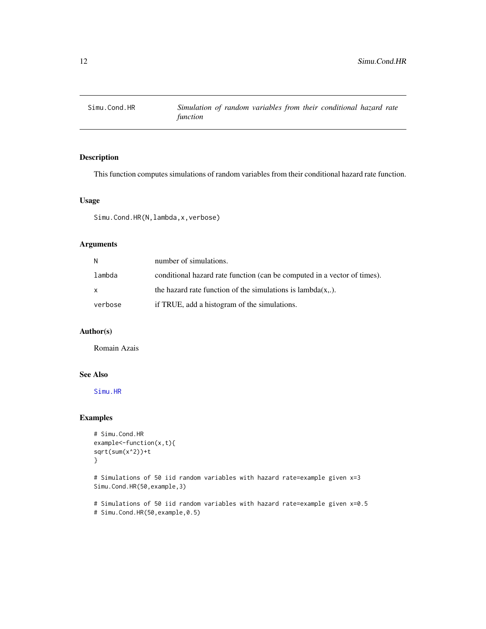<span id="page-11-1"></span><span id="page-11-0"></span>

## Description

This function computes simulations of random variables from their conditional hazard rate function.

## Usage

Simu.Cond.HR(N, lambda, x, verbose)

## Arguments

| N            | number of simulations.                                                   |
|--------------|--------------------------------------------------------------------------|
| lambda       | conditional hazard rate function (can be computed in a vector of times). |
| $\mathsf{x}$ | the hazard rate function of the simulations is $lambda(x, .)$ .          |
| verbose      | if TRUE, add a histogram of the simulations.                             |

#### Author(s)

Romain Azais

#### See Also

[Simu.HR](#page-12-1)

## Examples

```
# Simu.Cond.HR
example<-function(x,t){
sqrt(sum(x^2))+t
}
```
# Simulations of 50 iid random variables with hazard rate=example given x=3 Simu.Cond.HR(50,example,3)

# Simulations of 50 iid random variables with hazard rate=example given x=0.5 # Simu.Cond.HR(50,example,0.5)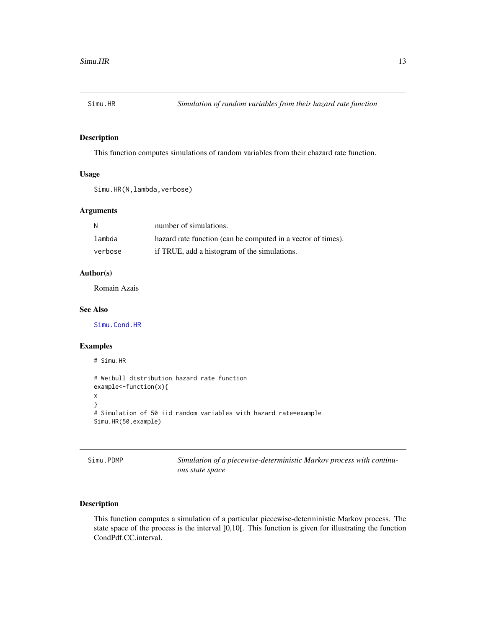<span id="page-12-1"></span><span id="page-12-0"></span>

## Description

This function computes simulations of random variables from their chazard rate function.

## Usage

```
Simu.HR(N, lambda, verbose)
```
## Arguments

| - N     | number of simulations.                                       |
|---------|--------------------------------------------------------------|
| lambda  | hazard rate function (can be computed in a vector of times). |
| verbose | if TRUE, add a histogram of the simulations.                 |

## Author(s)

Romain Azais

#### See Also

[Simu.Cond.HR](#page-11-1)

## Examples

```
# Simu.HR
# Weibull distribution hazard rate function
example<-function(x){
x
}
# Simulation of 50 iid random variables with hazard rate=example
Simu.HR(50,example)
```
<span id="page-12-2"></span>Simu.PDMP *Simulation of a piecewise-deterministic Markov process with continuous state space*

## Description

This function computes a simulation of a particular piecewise-deterministic Markov process. The state space of the process is the interval ]0,10[. This function is given for illustrating the function CondPdf.CC.interval.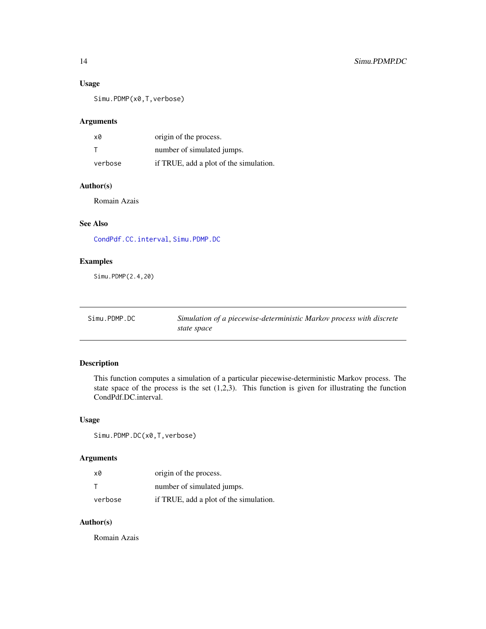## <span id="page-13-0"></span>Usage

Simu.PDMP(x0,T,verbose)

#### Arguments

| x0      | origin of the process.                 |
|---------|----------------------------------------|
|         | number of simulated jumps.             |
| verbose | if TRUE, add a plot of the simulation. |

## Author(s)

Romain Azais

## See Also

[CondPdf.CC.interval](#page-3-1), [Simu.PDMP.DC](#page-13-1)

## Examples

Simu.PDMP(2.4,20)

<span id="page-13-1"></span>

| Simu.PDMP.DC | Simulation of a piecewise-deterministic Markov process with discrete |
|--------------|----------------------------------------------------------------------|
|              | state space                                                          |

## Description

This function computes a simulation of a particular piecewise-deterministic Markov process. The state space of the process is the set  $(1,2,3)$ . This function is given for illustrating the function CondPdf.DC.interval.

## Usage

Simu.PDMP.DC(x0,T,verbose)

## Arguments

| x0      | origin of the process.                 |
|---------|----------------------------------------|
|         | number of simulated jumps.             |
| verbose | if TRUE, add a plot of the simulation. |

## Author(s)

Romain Azais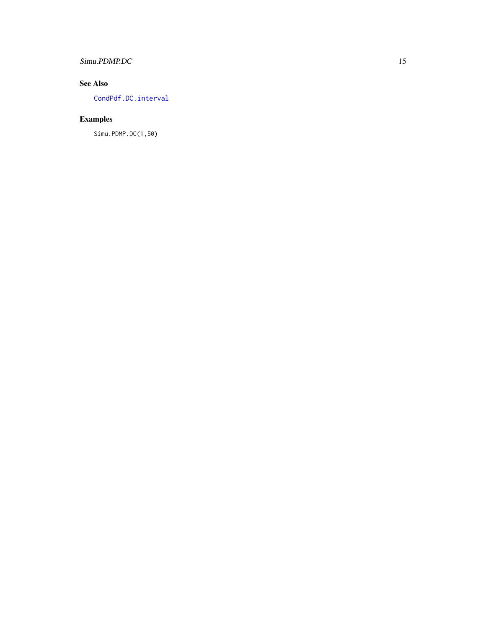## <span id="page-14-0"></span>Simu.PDMP.DC 15

## See Also

[CondPdf.DC.interval](#page-6-1)

## Examples

Simu.PDMP.DC(1,50)